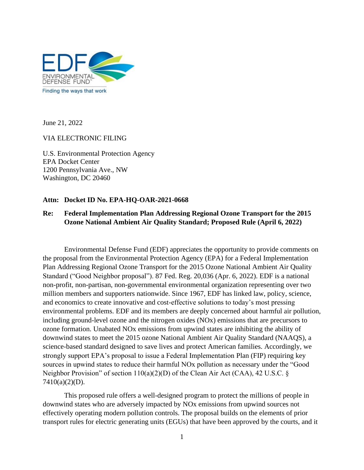

June 21, 2022

### VIA ELECTRONIC FILING

U.S. Environmental Protection Agency EPA Docket Center 1200 Pennsylvania Ave., NW Washington, DC 20460

### **Attn: Docket ID No. EPA-HQ-OAR-2021-0668**

# **Re: Federal Implementation Plan Addressing Regional Ozone Transport for the 2015 Ozone National Ambient Air Quality Standard; Proposed Rule (April 6, 2022)**

Environmental Defense Fund (EDF) appreciates the opportunity to provide comments on the proposal from the Environmental Protection Agency (EPA) for a Federal Implementation Plan Addressing Regional Ozone Transport for the 2015 Ozone National Ambient Air Quality Standard ("Good Neighbor proposal"). 87 Fed. Reg. 20,036 (Apr. 6, 2022). EDF is a national non-profit, non-partisan, non-governmental environmental organization representing over two million members and supporters nationwide. Since 1967, EDF has linked law, policy, science, and economics to create innovative and cost-effective solutions to today's most pressing environmental problems. EDF and its members are deeply concerned about harmful air pollution, including ground-level ozone and the nitrogen oxides (NOx) emissions that are precursors to ozone formation. Unabated NOx emissions from upwind states are inhibiting the ability of downwind states to meet the 2015 ozone National Ambient Air Quality Standard (NAAQS), a science-based standard designed to save lives and protect American families. Accordingly, we strongly support EPA's proposal to issue a Federal Implementation Plan (FIP) requiring key sources in upwind states to reduce their harmful NOx pollution as necessary under the "Good Neighbor Provision" of section 110(a)(2)(D) of the Clean Air Act (CAA), 42 U.S.C. § 7410(a)(2)(D).

This proposed rule offers a well-designed program to protect the millions of people in downwind states who are adversely impacted by NOx emissions from upwind sources not effectively operating modern pollution controls. The proposal builds on the elements of prior transport rules for electric generating units (EGUs) that have been approved by the courts, and it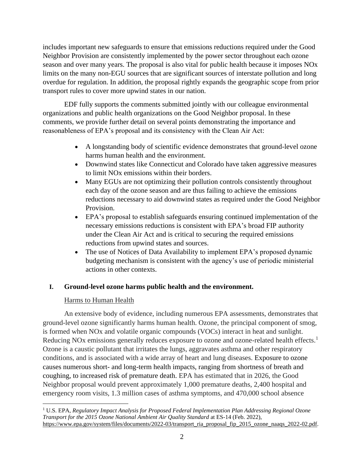includes important new safeguards to ensure that emissions reductions required under the Good Neighbor Provision are consistently implemented by the power sector throughout each ozone season and over many years. The proposal is also vital for public health because it imposes NOx limits on the many non-EGU sources that are significant sources of interstate pollution and long overdue for regulation. In addition, the proposal rightly expands the geographic scope from prior transport rules to cover more upwind states in our nation.

EDF fully supports the comments submitted jointly with our colleague environmental organizations and public health organizations on the Good Neighbor proposal. In these comments, we provide further detail on several points demonstrating the importance and reasonableness of EPA's proposal and its consistency with the Clean Air Act:

- A longstanding body of scientific evidence demonstrates that ground-level ozone harms human health and the environment.
- Downwind states like Connecticut and Colorado have taken aggressive measures to limit NOx emissions within their borders.
- Many EGUs are not optimizing their pollution controls consistently throughout each day of the ozone season and are thus failing to achieve the emissions reductions necessary to aid downwind states as required under the Good Neighbor Provision.
- EPA's proposal to establish safeguards ensuring continued implementation of the necessary emissions reductions is consistent with EPA's broad FIP authority under the Clean Air Act and is critical to securing the required emissions reductions from upwind states and sources.
- The use of Notices of Data Availability to implement EPA's proposed dynamic budgeting mechanism is consistent with the agency's use of periodic ministerial actions in other contexts.

# **I. Ground-level ozone harms public health and the environment.**

# Harms to Human Health

An extensive body of evidence, including numerous EPA assessments, demonstrates that ground-level ozone significantly harms human health. Ozone, the principal component of smog, is formed when NOx and volatile organic compounds (VOCs) interact in heat and sunlight. Reducing NO<sub>x</sub> emissions generally reduces exposure to ozone and ozone-related health effects.<sup>1</sup> Ozone is a caustic pollutant that irritates the lungs, aggravates asthma and other respiratory conditions, and is associated with a wide array of heart and lung diseases. Exposure to ozone causes numerous short- and long-term health impacts, ranging from shortness of breath and coughing, to increased risk of premature death. EPA has estimated that in 2026, the Good Neighbor proposal would prevent approximately 1,000 premature deaths, 2,400 hospital and emergency room visits, 1.3 million cases of asthma symptoms, and 470,000 school absence

<sup>1</sup> U.S. EPA, *Regulatory Impact Analysis for Proposed Federal Implementation Plan Addressing Regional Ozone Transport for the 2015 Ozone National Ambient Air Quality Standard* at ES-14 (Feb. 2022), [https://www.epa.gov/system/files/documents/2022-03/transport\\_ria\\_proposal\\_fip\\_2015\\_ozone\\_naaqs\\_2022-02.pdf.](https://www.epa.gov/system/files/documents/2022-03/transport_ria_proposal_fip_2015_ozone_naaqs_2022-02.pdf)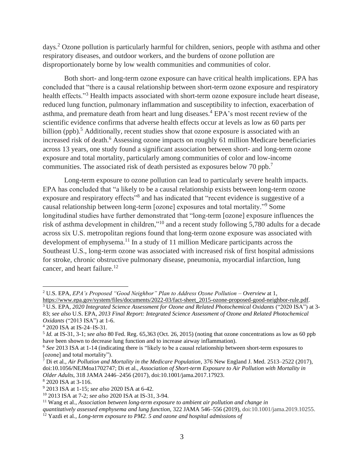days.<sup>2</sup> Ozone pollution is particularly harmful for children, seniors, people with asthma and other respiratory diseases, and outdoor workers, and the burdens of ozone pollution are disproportionately borne by low wealth communities and communities of color.

Both short- and long-term ozone exposure can have critical health implications. EPA has concluded that "there is a causal relationship between short-term ozone exposure and respiratory health effects."<sup>3</sup> Health impacts associated with short-term ozone exposure include heart disease, reduced lung function, pulmonary inflammation and susceptibility to infection, exacerbation of asthma, and premature death from heart and lung diseases.<sup>4</sup> EPA's most recent review of the scientific evidence confirms that adverse health effects occur at levels as low as 60 parts per billion (ppb).<sup>5</sup> Additionally, recent studies show that ozone exposure is associated with an increased risk of death.<sup>6</sup> Assessing ozone impacts on roughly 61 million Medicare beneficiaries across 13 years, one study found a significant association between short- and long-term ozone exposure and total mortality, particularly among communities of color and low-income communities. The associated risk of death persisted as exposures below 70 ppb.<sup>7</sup>

Long-term exposure to ozone pollution can lead to particularly severe health impacts. EPA has concluded that "a likely to be a causal relationship exists between long-term ozone exposure and respiratory effects"<sup>8</sup> and has indicated that "recent evidence is suggestive of a causal relationship between long-term [ozone] exposures and total mortality."<sup>9</sup> Some longitudinal studies have further demonstrated that "long-term [ozone] exposure influences the risk of asthma development in children,"<sup>10</sup> and a recent study following 5,780 adults for a decade across six U.S. metropolitan regions found that long-term ozone exposure was associated with development of emphysema.<sup>11</sup> In a study of 11 million Medicare participants across the Southeast U.S., long-term ozone was associated with increased risk of first hospital admissions for stroke, chronic obstructive pulmonary disease, pneumonia, myocardial infarction, lung cancer, and heart failure.<sup>12</sup>

<sup>2</sup> U.S. EPA, *EPA's Proposed "Good Neighbor" Plan to Address Ozone Pollution – Overview* at 1,

[https://www.epa.gov/system/files/documents/2022-03/fact-sheet\\_2015-ozone-proposed-good-neighbor-rule.pdf.](https://www.epa.gov/system/files/documents/2022-03/fact-sheet_2015-ozone-proposed-good-neighbor-rule.pdf) <sup>3</sup> U.S. EPA, *2020 Integrated Science Assessment for Ozone and Related Photochemical Oxidants* ("2020 ISA") at 3- 83; *see also* U.S. EPA, *2013 Final Report: Integrated Science Assessment of Ozone and Related Photochemical Oxidants* ("2013 ISA") at 1-6.

<sup>4</sup> 2020 ISA at IS-24–IS-31.

<sup>5</sup> *Id.* at IS-31, 3-1; *see also* 80 Fed. Reg. 65,363 (Oct. 26, 2015) (noting that ozone concentrations as low as 60 ppb have been shown to decrease lung function and to increase airway inflammation).

<sup>6</sup> *See* 2013 ISA at 1-14 (indicating there is "likely to be a causal relationship between short-term exposures to [ozone] and total mortality").

<sup>7</sup> Di et al., *Air Pollution and Mortality in the Medicare Population,* 376 New England J. Med. 2513–2522 (2017), doi:10.1056/NEJMoa1702747; Di et al., *Association of Short-term Exposure to Air Pollution with Mortality in Older Adults*, 318 JAMA 2446–2456 (2017), doi:10.1001/jama.2017.17923.

<sup>8</sup> 2020 ISA at 3-116.

<sup>9</sup> 2013 ISA at 1-15; *see also* 2020 ISA at 6-42.

<sup>10</sup> 2013 ISA at 7-2; *see also* 2020 ISA at IS-31, 3-94.

<sup>11</sup> Wang et al., *Association between long-term exposure to ambient air pollution and change in*

*quantitatively assessed emphysema and lung function,* 322 JAMA 546–556 (2019), doi:10.1001/jama.2019.10255.

<sup>12</sup> Yazdi et al*., Long-term exposure to PM2. 5 and ozone and hospital admissions of*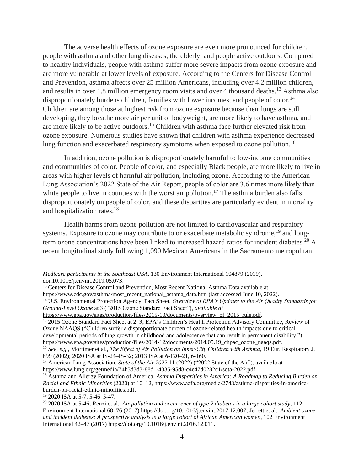The adverse health effects of ozone exposure are even more pronounced for children, people with asthma and other lung diseases, the elderly, and people active outdoors. Compared to healthy individuals, people with asthma suffer more severe impacts from ozone exposure and are more vulnerable at lower levels of exposure. According to the Centers for Disease Control and Prevention, asthma affects over 25 million Americans, including over 4.2 million children, and results in over 1.8 million emergency room visits and over 4 thousand deaths.<sup>13</sup> Asthma also disproportionately burdens children, families with lower incomes, and people of color.<sup>14</sup> Children are among those at highest risk from ozone exposure because their lungs are still developing, they breathe more air per unit of bodyweight, are more likely to have asthma, and are more likely to be active outdoors.<sup>15</sup> Children with asthma face further elevated risk from ozone exposure. Numerous studies have shown that children with asthma experience decreased lung function and exacerbated respiratory symptoms when exposed to ozone pollution.<sup>16</sup>

In addition, ozone pollution is disproportionately harmful to low-income communities and communities of color. People of color, and especially Black people, are more likely to live in areas with higher levels of harmful air pollution, including ozone. According to the American Lung Association's 2022 State of the Air Report, people of color are 3.6 times more likely than white people to live in counties with the worst air pollution.<sup>17</sup> The asthma burden also falls disproportionately on people of color, and these disparities are particularly evident in mortality and hospitalization rates.<sup>18</sup>

Health harms from ozone pollution are not limited to cardiovascular and respiratory systems. Exposure to ozone may contribute to or exacerbate metabolic syndrome, <sup>19</sup> and longterm ozone concentrations have been linked to increased hazard ratios for incident diabetes.<sup>20</sup> A recent longitudinal study following 1,090 Mexican Americans in the Sacramento metropolitan

<sup>15</sup> 2015 Ozone Standard Fact Sheet at 2–3; EPA's Children's Health Protection Advisory Committee, Review of Ozone NAAQS ("Children suffer a disproportionate burden of ozone-related health impacts due to critical developmental periods of lung growth in childhood and adolescence that can result in permanent disability."), https://www.epa.gov/sites/production/files/2014-12/documents/2014.05.19 chpac\_ozone\_naags.pdf.

<sup>19</sup> 2020 ISA at 5-7, 5-46–5-47.

*Medicare participants in the Southeast USA*, 130 Environment International 104879 (2019), doi[:10.1016/j.envint.2019.05.073.](https://doi.org/10.1016%2Fj.envint.2019.05.073)

<sup>&</sup>lt;sup>13</sup> Centers for Disease Control and Prevention, Most Recent National Asthma Data available at

[https://www.cdc.gov/asthma/most\\_recent\\_national\\_asthma\\_data.htm](https://www.cdc.gov/asthma/most_recent_national_asthma_data.htm) (last accessed June 10, 2022). <sup>14</sup> U.S. Environmental Protection Agency, Fact Sheet, *Overview of EPA's Updates to the Air Quality Standards for Ground-Level Ozone* at 3 ("2015 Ozone Standard Fact Sheet"), *available at* 

[https://www.epa.gov/sites/production/files/2015-10/documents/overview\\_of\\_2015\\_rule.pdf.](https://www.epa.gov/sites/production/files/2015-10/documents/overview_of_2015_rule.pdf)

<sup>16</sup> *See, e.g.,* Mortimer et al., *The Effect of Air Pollution on Inner‐City Children with Asthma*, 19 Eur. Respiratory J. 699 (2002); 2020 ISA at IS-24–IS-32; 2013 ISA at 6‐120–21, 6‐160.

<sup>&</sup>lt;sup>17</sup> American Lung Association, *State of the Air* 2022 11 (2022) ("2022 State of the Air"), available at [https://www.lung.org/getmedia/74b3d3d3-88d1-4335-95d8-c4e47d0282c1/sota-2022.pdf.](https://www.lung.org/getmedia/74b3d3d3-88d1-4335-95d8-c4e47d0282c1/sota-2022.pdf)

<sup>18</sup> Asthma and Allergy Foundation of America, *Asthma Disparities in America: A Roadmap to Reducing Burden on Racial and Ethnic Minorities* (2020) at 10–12, [https://www.aafa.org/media/2743/asthma-disparities-in-america](https://www.aafa.org/media/2743/asthma-disparities-in-america-burden-on-racial-ethnic-minorities.pdf)[burden-on-racial-ethnic-minorities.pdf.](https://www.aafa.org/media/2743/asthma-disparities-in-america-burden-on-racial-ethnic-minorities.pdf)

<sup>20</sup> 2020 ISA at 5-46; Renzi et al., *Air pollution and occurrence of type 2 diabetes in a large cohort study*, 112 Environment International 68–76 (2017) [https://doi.org/10.1016/j.envint.2017.12.007;](https://doi.org/10.1016/j.envint.2017.12.007) Jerrett et al., *Ambient ozone and incident diabetes: A prospective analysis in a large cohort of African American women*, 102 Environment International 42–47 (2017) [https://doi.org/10.1016/j.envint.2016.12.011.](https://doi.org/10.1016/j.envint.2016.12.011)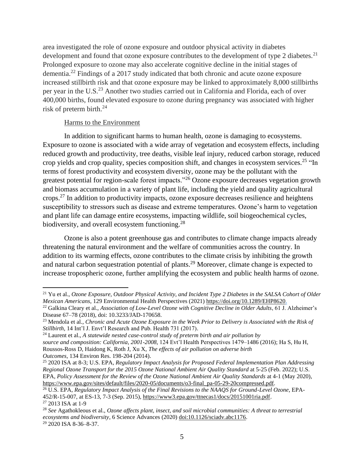area investigated the role of ozone exposure and outdoor physical activity in diabetes development and found that ozone exposure contributes to the development of type 2 diabetes.<sup>21</sup> Prolonged exposure to ozone may also accelerate cognitive decline in the initial stages of dementia.<sup>22</sup> Findings of a 2017 study indicated that both chronic and acute ozone exposure increased stillbirth risk and that ozone exposure may be linked to approximately 8,000 stillbirths per year in the U.S.<sup>23</sup> Another two studies carried out in California and Florida, each of over 400,000 births, found elevated exposure to ozone during pregnancy was associated with higher risk of preterm birth.<sup>24</sup>

### Harms to the Environment

In addition to significant harms to human health, ozone is damaging to ecosystems. Exposure to ozone is associated with a wide array of vegetation and ecosystem effects, including reduced growth and productivity, tree deaths, visible leaf injury, reduced carbon storage, reduced crop yields and crop quality, species composition shift, and changes in ecosystem services.<sup>25</sup> "In terms of forest productivity and ecosystem diversity, ozone may be the pollutant with the greatest potential for region-scale forest impacts."<sup>26</sup> Ozone exposure decreases vegetation growth and biomass accumulation in a variety of plant life, including the yield and quality agricultural crops.<sup>27</sup> In addition to productivity impacts, ozone exposure decreases resilience and heightens susceptibility to stressors such as disease and extreme temperatures. Ozone's harm to vegetation and plant life can damage entire ecosystems, impacting wildlife, soil biogeochemical cycles, biodiversity, and overall ecosystem functioning.<sup>28</sup>

Ozone is also a potent greenhouse gas and contributes to climate change impacts already threatening the natural environment and the welfare of communities across the country. In addition to its warming effects, ozone contributes to the climate crisis by inhibiting the growth and natural carbon sequestration potential of plants.<sup>29</sup> Moreover, climate change is expected to increase tropospheric ozone, further amplifying the ecosystem and public health harms of ozone.

<sup>21</sup> Yu et al., *Ozone Exposure, Outdoor Physical Activity, and Incident Type 2 Diabetes in the SALSA Cohort of Older Mexican Americans*, 129 Environmental Health Perspectives (2021) [https://doi.org/10.1289/EHP8620.](https://doi.org/10.1289/EHP8620)

<sup>&</sup>lt;sup>22</sup> Galkina Cleary et al., *Association of Low-Level Ozone with Cognitive Decline in Older Adults*, 61 J. Alzheimer's Disease 67–78 (2018), doi: 10.3233/JAD-170658.

<sup>23</sup> Mendola et al., *Chronic and Acute Ozone Exposure in the Week Prior to Delivery is Associated with the Risk of Stillbirth*, 14 Int'l J. Envt'l Research and Pub. Health 731 (2017).

<sup>24</sup> Laurent et al., *A statewide nested case-control study of preterm birth and air pollution by source and composition: California, 2001-2008,* 124 Evt'l Health Perspectives 1479–1486 (2016); Ha S, Hu H, Roussos-Ross D, Haidong K, Roth J, Xu X, *The effects of air pollution on adverse birth Outcomes*, 134 Environ Res. 198-204 (2014).

<sup>25</sup> 2020 ISA at 8-3; U.S. EPA, *Regulatory Impact Analysis for Proposed Federal Implementation Plan Addressing Regional Ozone Transport for the 2015 Ozone National Ambient Air Quality Standard* at 5-25 (Feb. 2022); U.S. EPA, *Policy Assessment for the Review of the Ozone National Ambient Air Quality Standards* at 4-1 (May 2020), [https://www.epa.gov/sites/default/files/2020-05/documents/o3-final\\_pa-05-29-20compressed.pdf.](https://www.epa.gov/sites/default/files/2020-05/documents/o3-final_pa-05-29-20compressed.pdf)

<sup>26</sup> U.S. EPA, *Regulatory Impact Analysis of the Final Revisions to the NAAQS for Ground-Level Ozone*, EPA-452/R-15-007, at ES-13, 7-3 (Sep. 2015), [https://www3.epa.gov/ttnecas1/docs/20151001ria.pdf.](https://www3.epa.gov/ttnecas1/docs/20151001ria.pdf) <sup>27</sup> 2013 ISA at 1-9

<sup>28</sup> *See* Agathokleous et al., *Ozone affects plant, insect, and soil microbial communities: A threat to terrestrial ecosystems and biodiversity*, 6 Science Advances (2020) [doi:10.1126/sciadv.abc1176.](https://doi.org/10.1126/sciadv.abc1176) <sup>29</sup> 2020 ISA 8-36–8-37.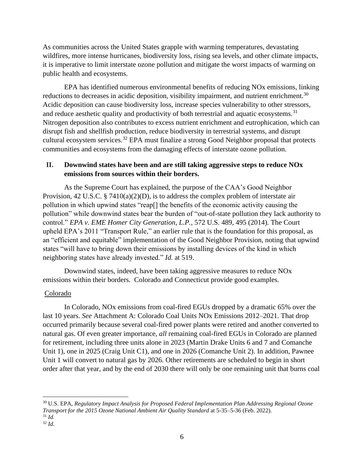As communities across the United States grapple with warming temperatures, devastating wildfires, more intense hurricanes, biodiversity loss, rising sea levels, and other climate impacts, it is imperative to limit interstate ozone pollution and mitigate the worst impacts of warming on public health and ecosystems.

EPA has identified numerous environmental benefits of reducing NOx emissions, linking reductions to decreases in acidic deposition, visibility impairment, and nutrient enrichment.<sup>30</sup> Acidic deposition can cause biodiversity loss, increase species vulnerability to other stressors, and reduce aesthetic quality and productivity of both terrestrial and aquatic ecosystems.<sup>31</sup> Nitrogen deposition also contributes to excess nutrient enrichment and eutrophication, which can disrupt fish and shellfish production, reduce biodiversity in terrestrial systems, and disrupt cultural ecosystem services.<sup>32</sup> EPA must finalize a strong Good Neighbor proposal that protects communities and ecosystems from the damaging effects of interstate ozone pollution.

## **II. Downwind states have been and are still taking aggressive steps to reduce NOx emissions from sources within their borders.**

As the Supreme Court has explained, the purpose of the CAA's Good Neighbor Provision, 42 U.S.C. § 7410(a)(2)(D), is to address the complex problem of interstate air pollution in which upwind states "reap[] the benefits of the economic activity causing the pollution" while downwind states bear the burden of "out-of-state pollution they lack authority to control." *EPA v. EME Homer City Generation, L.P.*, 572 U.S. 489, 495 (2014). The Court upheld EPA's 2011 "Transport Rule," an earlier rule that is the foundation for this proposal, as an "efficient and equitable" implementation of the Good Neighbor Provision, noting that upwind states "will have to bring down their emissions by installing devices of the kind in which neighboring states have already invested." *Id.* at 519.

 Downwind states, indeed, have been taking aggressive measures to reduce NOx emissions within their borders. Colorado and Connecticut provide good examples.

### Colorado

 In Colorado, NOx emissions from coal-fired EGUs dropped by a dramatic 65% over the last 10 years. *See* Attachment A: Colorado Coal Units NOx Emissions 2012–2021. That drop occurred primarily because several coal-fired power plants were retired and another converted to natural gas. Of even greater importance, *all* remaining coal-fired EGUs in Colorado are planned for retirement, including three units alone in 2023 (Martin Drake Units 6 and 7 and Comanche Unit 1), one in 2025 (Craig Unit C1), and one in 2026 (Comanche Unit 2). In addition, Pawnee Unit 1 will convert to natural gas by 2026. Other retirements are scheduled to begin in short order after that year, and by the end of 2030 there will only be one remaining unit that burns coal

<sup>30</sup> U.S. EPA, *Regulatory Impact Analysis for Proposed Federal Implementation Plan Addressing Regional Ozone Transport for the 2015 Ozone National Ambient Air Quality Standard* at 5-35–5-36 (Feb. 2022). <sup>31</sup> *Id.*

<sup>32</sup> *Id.*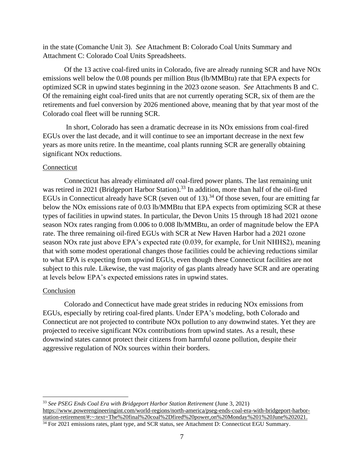in the state (Comanche Unit 3). *See* Attachment B: Colorado Coal Units Summary and Attachment C: Colorado Coal Units Spreadsheets.

 Of the 13 active coal-fired units in Colorado, five are already running SCR and have NOx emissions well below the 0.08 pounds per million Btus (lb/MMBtu) rate that EPA expects for optimized SCR in upwind states beginning in the 2023 ozone season. *See* Attachments B and C. Of the remaining eight coal-fired units that are not currently operating SCR, six of them are the retirements and fuel conversion by 2026 mentioned above, meaning that by that year most of the Colorado coal fleet will be running SCR.

 In short, Colorado has seen a dramatic decrease in its NOx emissions from coal-fired EGUs over the last decade, and it will continue to see an important decrease in the next few years as more units retire. In the meantime, coal plants running SCR are generally obtaining significant NOx reductions.

#### Connecticut

 Connecticut has already eliminated *all* coal-fired power plants. The last remaining unit was retired in 2021 (Bridgeport Harbor Station).<sup>33</sup> In addition, more than half of the oil-fired EGUs in Connecticut already have SCR (seven out of 13).<sup>34</sup> Of those seven, four are emitting far below the NOx emissions rate of 0.03 lb/MMBtu that EPA expects from optimizing SCR at these types of facilities in upwind states. In particular, the Devon Units 15 through 18 had 2021 ozone season NOx rates ranging from 0.006 to 0.008 lb/MMBtu, an order of magnitude below the EPA rate. The three remaining oil-fired EGUs with SCR at New Haven Harbor had a 2021 ozone season NOx rate just above EPA's expected rate (0.039, for example, for Unit NHHS2), meaning that with some modest operational changes those facilities could be achieving reductions similar to what EPA is expecting from upwind EGUs, even though these Connecticut facilities are not subject to this rule. Likewise, the vast majority of gas plants already have SCR and are operating at levels below EPA's expected emissions rates in upwind states.

#### Conclusion

 Colorado and Connecticut have made great strides in reducing NOx emissions from EGUs, especially by retiring coal-fired plants. Under EPA's modeling, both Colorado and Connecticut are not projected to contribute NOx pollution to any downwind states. Yet they are projected to receive significant NOx contributions from upwind states. As a result, these downwind states cannot protect their citizens from harmful ozone pollution, despite their aggressive regulation of NOx sources within their borders.

<sup>33</sup> *See PSEG Ends Coal Era with Bridgeport Harbor Station Retirement* (June 3, 2021) [https://www.powerengineeringint.com/world-regions/north-america/pseg-ends-coal-era-with-bridgeport-harbor](https://www.powerengineeringint.com/world-regions/north-america/pseg-ends-coal-era-with-bridgeport-harbor-station-retirement/#:~:text=The%20final%20coal%2Dfired%20power,on%20Monday%201%20June%202021)[station-retirement/#:~:text=The%20final%20coal%2Dfired%20power,on%20Monday%201%20June%202021.](https://www.powerengineeringint.com/world-regions/north-america/pseg-ends-coal-era-with-bridgeport-harbor-station-retirement/#:~:text=The%20final%20coal%2Dfired%20power,on%20Monday%201%20June%202021) <sup>34</sup> For 2021 emissions rates, plant type, and SCR status, see Attachment D: Connecticut EGU Summary.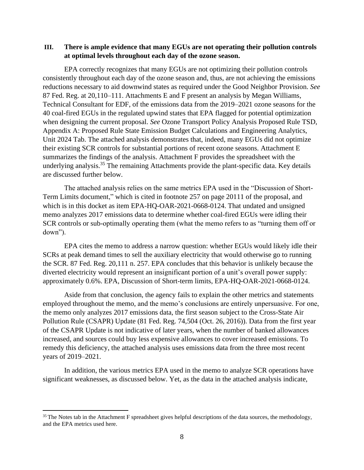## **III. There is ample evidence that many EGUs are not operating their pollution controls at optimal levels throughout each day of the ozone season.**

EPA correctly recognizes that many EGUs are not optimizing their pollution controls consistently throughout each day of the ozone season and, thus, are not achieving the emissions reductions necessary to aid downwind states as required under the Good Neighbor Provision. *See* 87 Fed. Reg. at 20,110–111. Attachments E and F present an analysis by Megan Williams, Technical Consultant for EDF, of the emissions data from the 2019–2021 ozone seasons for the 40 coal-fired EGUs in the regulated upwind states that EPA flagged for potential optimization when designing the current proposal. *See* Ozone Transport Policy Analysis Proposed Rule TSD, Appendix A: Proposed Rule State Emission Budget Calculations and Engineering Analytics, Unit 2024 Tab. The attached analysis demonstrates that, indeed, many EGUs did not optimize their existing SCR controls for substantial portions of recent ozone seasons. Attachment E summarizes the findings of the analysis. Attachment F provides the spreadsheet with the underlying analysis.<sup>35</sup> The remaining Attachments provide the plant-specific data. Key details are discussed further below.

The attached analysis relies on the same metrics EPA used in the "Discussion of Short-Term Limits document," which is cited in footnote 257 on page 20111 of the proposal, and which is in this docket as item EPA-HQ-OAR-2021-0668-0124. That undated and unsigned memo analyzes 2017 emissions data to determine whether coal-fired EGUs were idling their SCR controls or sub-optimally operating them (what the memo refers to as "turning them off or down").

EPA cites the memo to address a narrow question: whether EGUs would likely idle their SCRs at peak demand times to sell the auxiliary electricity that would otherwise go to running the SCR. 87 Fed. Reg. 20,111 n. 257. EPA concludes that this behavior is unlikely because the diverted electricity would represent an insignificant portion of a unit's overall power supply: approximately 0.6%. EPA, Discussion of Short-term limits, EPA-HQ-OAR-2021-0668-0124.

Aside from that conclusion, the agency fails to explain the other metrics and statements employed throughout the memo, and the memo's conclusions are entirely unpersuasive. For one, the memo only analyzes 2017 emissions data, the first season subject to the Cross-State Air Pollution Rule (CSAPR) Update (81 Fed. Reg. 74,504 (Oct. 26, 2016)). Data from the first year of the CSAPR Update is not indicative of later years, when the number of banked allowances increased, and sources could buy less expensive allowances to cover increased emissions. To remedy this deficiency, the attached analysis uses emissions data from the three most recent years of 2019–2021.

In addition, the various metrics EPA used in the memo to analyze SCR operations have significant weaknesses, as discussed below. Yet, as the data in the attached analysis indicate,

<sup>&</sup>lt;sup>35</sup> The Notes tab in the Attachment F spreadsheet gives helpful descriptions of the data sources, the methodology, and the EPA metrics used here.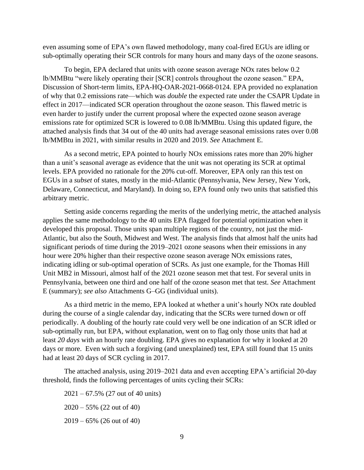even assuming some of EPA's own flawed methodology, many coal-fired EGUs are idling or sub-optimally operating their SCR controls for many hours and many days of the ozone seasons.

To begin, EPA declared that units with ozone season average NOx rates below 0.2 lb/MMBtu "were likely operating their [SCR] controls throughout the ozone season." EPA, Discussion of Short-term limits, EPA-HQ-OAR-2021-0668-0124. EPA provided no explanation of why that 0.2 emissions rate—which was *double* the expected rate under the CSAPR Update in effect in 2017—indicated SCR operation throughout the ozone season. This flawed metric is even harder to justify under the current proposal where the expected ozone season average emissions rate for optimized SCR is lowered to 0.08 lb/MMBtu. Using this updated figure, the attached analysis finds that 34 out of the 40 units had average seasonal emissions rates over 0.08 lb/MMBtu in 2021, with similar results in 2020 and 2019. *See* Attachment E.

As a second metric, EPA pointed to hourly NOx emissions rates more than 20% higher than a unit's seasonal average as evidence that the unit was not operating its SCR at optimal levels. EPA provided no rationale for the 20% cut-off. Moreover, EPA only ran this test on EGUs in a *subset* of states, mostly in the mid-Atlantic (Pennsylvania, New Jersey, New York, Delaware, Connecticut, and Maryland). In doing so, EPA found only two units that satisfied this arbitrary metric.

Setting aside concerns regarding the merits of the underlying metric, the attached analysis applies the same methodology to the 40 units EPA flagged for potential optimization when it developed this proposal. Those units span multiple regions of the country, not just the mid-Atlantic, but also the South, Midwest and West. The analysis finds that almost half the units had significant periods of time during the 2019–2021 ozone seasons when their emissions in any hour were 20% higher than their respective ozone season average NOx emissions rates, indicating idling or sub-optimal operation of SCRs. As just one example, for the Thomas Hill Unit MB2 in Missouri, almost half of the 2021 ozone season met that test. For several units in Pennsylvania, between one third and one half of the ozone season met that test. *See* Attachment E (summary); *see also* Attachments G–GG (individual units).

As a third metric in the memo, EPA looked at whether a unit's hourly NOx rate doubled during the course of a single calendar day, indicating that the SCRs were turned down or off periodically. A doubling of the hourly rate could very well be one indication of an SCR idled or sub-optimally run, but EPA, without explanation, went on to flag only those units that had at least *20 days* with an hourly rate doubling. EPA gives no explanation for why it looked at 20 days or more. Even with such a forgiving (and unexplained) test, EPA still found that 15 units had at least 20 days of SCR cycling in 2017.

The attached analysis, using 2019–2021 data and even accepting EPA's artificial 20-day threshold, finds the following percentages of units cycling their SCRs:

2021 – 67.5% (27 out of 40 units) 2020 – 55% (22 out of 40)

2019 – 65% (26 out of 40)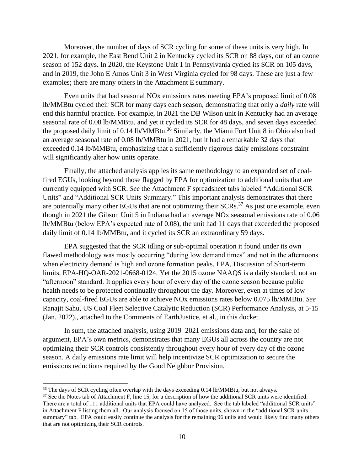Moreover, the number of days of SCR cycling for some of these units is very high. In 2021, for example, the East Bend Unit 2 in Kentucky cycled its SCR on 88 days, out of an ozone season of 152 days. In 2020, the Keystone Unit 1 in Pennsylvania cycled its SCR on 105 days, and in 2019, the John E Amos Unit 3 in West Virginia cycled for 98 days. These are just a few examples; there are many others in the Attachment E summary.

Even units that had seasonal NOx emissions rates meeting EPA's proposed limit of 0.08 lb/MMBtu cycled their SCR for many days each season, demonstrating that only a *daily* rate will end this harmful practice. For example, in 2021 the DB Wilson unit in Kentucky had an average seasonal rate of 0.08 lb/MMBtu, and yet it cycled its SCR for 48 days, and seven days exceeded the proposed daily limit of 0.14 lb/MMBtu.<sup>36</sup> Similarly, the Miami Fort Unit 8 in Ohio also had an average seasonal rate of 0.08 lb/MMBtu in 2021, but it had a remarkable 32 days that exceeded 0.14 lb/MMBtu, emphasizing that a sufficiently rigorous daily emissions constraint will significantly alter how units operate.

Finally, the attached analysis applies its same methodology to an expanded set of coalfired EGUs, looking beyond those flagged by EPA for optimization to additional units that are currently equipped with SCR. *See* the Attachment F spreadsheet tabs labeled "Additional SCR Units" and "Additional SCR Units Summary." This important analysis demonstrates that there are potentially many other EGUs that are not optimizing their SCRs.<sup>37</sup> As just one example, even though in 2021 the Gibson Unit 5 in Indiana had an average NOx seasonal emissions rate of 0.06 lb/MMBtu (below EPA's expected rate of 0.08), the unit had 11 days that exceeded the proposed daily limit of 0.14 lb/MMBtu, and it cycled its SCR an extraordinary 59 days.

EPA suggested that the SCR idling or sub-optimal operation it found under its own flawed methodology was mostly occurring "during low demand times" and not in the afternoons when electricity demand is high and ozone formation peaks. EPA, Discussion of Short-term limits, EPA-HQ-OAR-2021-0668-0124. Yet the 2015 ozone NAAQS is a daily standard, not an "afternoon" standard. It applies every hour of every day of the ozone season because public health needs to be protected continually throughout the day. Moreover, even at times of low capacity, coal-fired EGUs are able to achieve NOx emissions rates below 0.075 lb/MMBtu. *See* Ranajit Sahu, US Coal Fleet Selective Catalytic Reduction (SCR) Performance Analysis, at 5-15 (Jan. 2022)., attached to the Comments of EarthJustice, et al., in this docket.

In sum, the attached analysis, using 2019–2021 emissions data and, for the sake of argument, EPA's own metrics, demonstrates that many EGUs all across the country are not optimizing their SCR controls consistently throughout every hour of every day of the ozone season. A daily emissions rate limit will help incentivize SCR optimization to secure the emissions reductions required by the Good Neighbor Provision.

<sup>&</sup>lt;sup>36</sup> The days of SCR cycling often overlap with the days exceeding 0.14 lb/MMBtu, but not always.

<sup>&</sup>lt;sup>37</sup> See the Notes tab of Attachment F, line 15, for a description of how the additional SCR units were identified. There are a total of 111 additional units that EPA could have analyzed. See the tab labeled "additional SCR units" in Attachment F listing them all. Our analysis focused on 15 of those units, shown in the "additional SCR units summary" tab. EPA could easily continue the analysis for the remaining 96 units and would likely find many others that are not optimizing their SCR controls.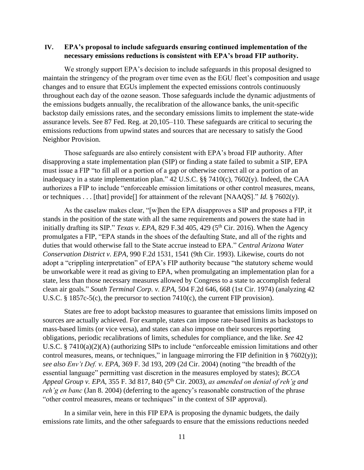## **IV. EPA's proposal to include safeguards ensuring continued implementation of the necessary emissions reductions is consistent with EPA's broad FIP authority.**

We strongly support EPA's decision to include safeguards in this proposal designed to maintain the stringency of the program over time even as the EGU fleet's composition and usage changes and to ensure that EGUs implement the expected emissions controls continuously throughout each day of the ozone season. Those safeguards include the dynamic adjustments of the emissions budgets annually, the recalibration of the allowance banks, the unit-specific backstop daily emissions rates, and the secondary emissions limits to implement the state-wide assurance levels. See 87 Fed. Reg. at 20,105–110. These safeguards are critical to securing the emissions reductions from upwind states and sources that are necessary to satisfy the Good Neighbor Provision.

Those safeguards are also entirely consistent with EPA's broad FIP authority. After disapproving a state implementation plan (SIP) or finding a state failed to submit a SIP, EPA must issue a FIP "to fill all or a portion of a gap or otherwise correct all or a portion of an inadequacy in a state implementation plan." 42 U.S.C. §§ 7410(c), 7602(y). Indeed, the CAA authorizes a FIP to include "enforceable emission limitations or other control measures, means, or techniques . . . [that] provide[] for attainment of the relevant [NAAQS]." *Id.* § 7602(y).

As the caselaw makes clear, "[w]hen the EPA disapproves a SIP and proposes a FIP, it stands in the position of the state with all the same requirements and powers the state had in initially drafting its SIP." *Texas v. EPA*, 829 F.3d 405, 429 ( $5<sup>th</sup>$  Cir. 2016). When the Agency promulgates a FIP, "EPA stands in the shoes of the defaulting State, and all of the rights and duties that would otherwise fall to the State accrue instead to EPA." *Central Arizona Water Conservation District v. EPA*, 990 F.2d 1531, 1541 (9th Cir. 1993). Likewise, courts do not adopt a "crippling interpretation" of EPA's FIP authority because "the statutory scheme would be unworkable were it read as giving to EPA, when promulgating an implementation plan for a state, less than those necessary measures allowed by Congress to a state to accomplish federal clean air goals." *South Terminal Corp. v. EPA*, 504 F.2d 646, 668 (1st Cir. 1974) (analyzing 42 U.S.C. § 1857c-5(c), the precursor to section 7410(c), the current FIP provision).

States are free to adopt backstop measures to guarantee that emissions limits imposed on sources are actually achieved. For example, states can impose rate-based limits as backstops to mass-based limits (or vice versa), and states can also impose on their sources reporting obligations, periodic recalibrations of limits, schedules for compliance, and the like. *See* 42 U.S.C. § 7410(a)(2)(A) (authorizing SIPs to include "enforceable emission limitations and other control measures, means, or techniques," in language mirroring the FIP definition in  $\S 7602(y)$ ; *see also Env't Def. v. EPA*, 369 F. 3d 193, 209 (2d Cir. 2004) (noting "the breadth of the essential language" permitting vast discretion in the measures employed by states); *BCCA Appeal Group v. EPA*, 355 F. 3d 817, 840 (5th Cir. 2003), *as amended on denial of reh'g and reh'g en banc* (Jan 8. 2004) (deferring to the agency's reasonable construction of the phrase "other control measures, means or techniques" in the context of SIP approval).

In a similar vein, here in this FIP EPA is proposing the dynamic budgets, the daily emissions rate limits, and the other safeguards to ensure that the emissions reductions needed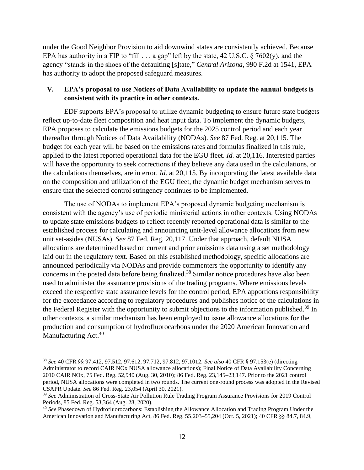under the Good Neighbor Provision to aid downwind states are consistently achieved. Because EPA has authority in a FIP to "fill  $\ldots$  a gap" left by the state, 42 U.S.C. § 7602(y), and the agency "stands in the shoes of the defaulting [s]tate," *Central Arizona*, 990 F.2d at 1541, EPA has authority to adopt the proposed safeguard measures.

### **V. EPA's proposal to use Notices of Data Availability to update the annual budgets is consistent with its practice in other contexts.**

EDF supports EPA's proposal to utilize dynamic budgeting to ensure future state budgets reflect up-to-date fleet composition and heat input data. To implement the dynamic budgets, EPA proposes to calculate the emissions budgets for the 2025 control period and each year thereafter through Notices of Data Availability (NODAs). *See* 87 Fed. Reg. at 20,115. The budget for each year will be based on the emissions rates and formulas finalized in this rule, applied to the latest reported operational data for the EGU fleet. *Id.* at 20,116. Interested parties will have the opportunity to seek corrections if they believe any data used in the calculations, or the calculations themselves, are in error. *Id*. at 20,115. By incorporating the latest available data on the composition and utilization of the EGU fleet, the dynamic budget mechanism serves to ensure that the selected control stringency continues to be implemented.

The use of NODAs to implement EPA's proposed dynamic budgeting mechanism is consistent with the agency's use of periodic ministerial actions in other contexts. Using NODAs to update state emissions budgets to reflect recently reported operational data is similar to the established process for calculating and announcing unit-level allowance allocations from new unit set-asides (NUSAs). *See* 87 Fed. Reg. 20,117. Under that approach, default NUSA allocations are determined based on current and prior emissions data using a set methodology laid out in the regulatory text. Based on this established methodology, specific allocations are announced periodically via NODAs and provide commenters the opportunity to identify any concerns in the posted data before being finalized.<sup>38</sup> Similar notice procedures have also been used to administer the assurance provisions of the trading programs. Where emissions levels exceed the respective state assurance levels for the control period, EPA apportions responsibility for the exceedance according to regulatory procedures and publishes notice of the calculations in the Federal Register with the opportunity to submit objections to the information published.<sup>39</sup> In other contexts, a similar mechanism has been employed to issue allowance allocations for the production and consumption of hydrofluorocarbons under the 2020 American Innovation and Manufacturing Act.<sup>40</sup>

<sup>38</sup> *See* 40 CFR §§ 97.412, 97.512, 97.612, 97.712, 97.812, 97.1012. *See also* 40 CFR § 97.153(e) (directing Administrator to record CAIR NOx NUSA allowance allocations); Final Notice of Data Availability Concerning 2010 CAIR NOx, 75 Fed. Reg. 52,940 (Aug. 30, 2010); 86 Fed. Reg. 23,145–23,147. Prior to the 2021 control period, NUSA allocations were completed in two rounds. The current one-round process was adopted in the Revised CSAPR Update. *See* 86 Fed. Reg. 23,054 (April 30, 2021).

<sup>39</sup> *See* Administration of Cross-State Air Pollution Rule Trading Program Assurance Provisions for 2019 Control Periods, 85 Fed. Reg. 53,364 (Aug. 28, 2020).

<sup>40</sup> *See* Phasedown of Hydrofluorocarbons: Establishing the Allowance Allocation and Trading Program Under the American Innovation and Manufacturing Act, 86 Fed. Reg. 55,203–55,204 (Oct. 5, 2021); 40 CFR §§ 84.7, 84.9,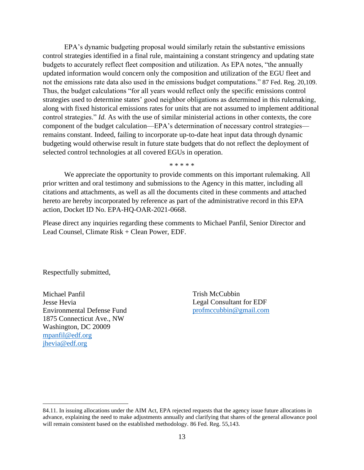EPA's dynamic budgeting proposal would similarly retain the substantive emissions control strategies identified in a final rule, maintaining a constant stringency and updating state budgets to accurately reflect fleet composition and utilization. As EPA notes, "the annually updated information would concern only the composition and utilization of the EGU fleet and not the emissions rate data also used in the emissions budget computations." 87 Fed. Reg. 20,109. Thus, the budget calculations "for all years would reflect only the specific emissions control strategies used to determine states' good neighbor obligations as determined in this rulemaking, along with fixed historical emissions rates for units that are not assumed to implement additional control strategies." *Id.* As with the use of similar ministerial actions in other contexts, the core component of the budget calculation—EPA's determination of necessary control strategies remains constant. Indeed, failing to incorporate up-to-date heat input data through dynamic budgeting would otherwise result in future state budgets that do not reflect the deployment of selected control technologies at all covered EGUs in operation.

\* \* \* \* \*

We appreciate the opportunity to provide comments on this important rulemaking. All prior written and oral testimony and submissions to the Agency in this matter, including all citations and attachments, as well as all the documents cited in these comments and attached hereto are hereby incorporated by reference as part of the administrative record in this EPA action, Docket ID No. EPA-HQ-OAR-2021-0668.

Please direct any inquiries regarding these comments to Michael Panfil, Senior Director and Lead Counsel, Climate Risk + Clean Power, EDF.

Respectfully submitted,

Michael Panfil Jesse Hevia Environmental Defense Fund 1875 Connecticut Ave., NW Washington, DC 20009 [mpanfil@edf.org](mailto:mpanfil@edf.org) [jhevia@edf.org](mailto:jhevia@edf.org)

Trish McCubbin Legal Consultant for EDF [profmccubbin@gmail.com](mailto:profmccubbin@gmail.com)

<sup>84.11.</sup> In issuing allocations under the AIM Act, EPA rejected requests that the agency issue future allocations in advance, explaining the need to make adjustments annually and clarifying that shares of the general allowance pool will remain consistent based on the established methodology. 86 Fed. Reg. 55,143.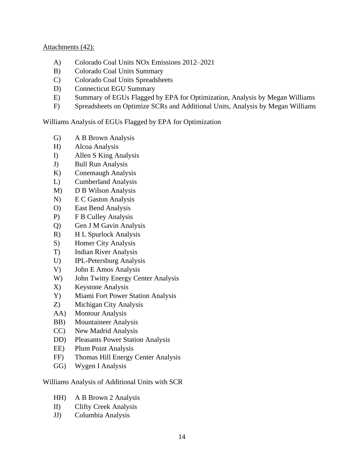### Attachments (42):

- A) Colorado Coal Units NOx Emissions 2012–2021
- B) Colorado Coal Units Summary
- C) Colorado Coal Units Spreadsheets
- D) Connecticut EGU Summary
- E) Summary of EGUs Flagged by EPA for Optimization, Analysis by Megan Williams
- F) Spreadsheets on Optimize SCRs and Additional Units, Analysis by Megan Williams

Williams Analysis of EGUs Flagged by EPA for Optimization

- G) A B Brown Analysis
- H) Alcoa Analysis
- I) Allen S King Analysis
- J) Bull Run Analysis
- K) Conemaugh Analysis
- L) Cumberland Analysis
- M) D B Wilson Analysis
- N) E C Gaston Analysis
- O) East Bend Analysis
- P) F B Culley Analysis
- Q) Gen J M Gavin Analysis
- R) H L Spurlock Analysis
- S) Homer City Analysis
- T) Indian River Analysis
- U) IPL-Petersburg Analysis
- V) John E Amos Analysis
- W) John Twitty Energy Center Analysis
- X) Keystone Analysis
- Y) Miami Fort Power Station Analysis
- Z) Michigan City Analysis
- AA) Montour Analysis
- BB) Mountaineer Analysis
- CC) New Madrid Analysis
- DD) Pleasants Power Station Analysis
- EE) Plum Point Analysis
- FF) Thomas Hill Energy Center Analysis
- GG) Wygen I Analysis

Williams Analysis of Additional Units with SCR

- HH) A B Brown 2 Analysis
- II) Clifty Creek Analysis
- JJ) Columbia Analysis